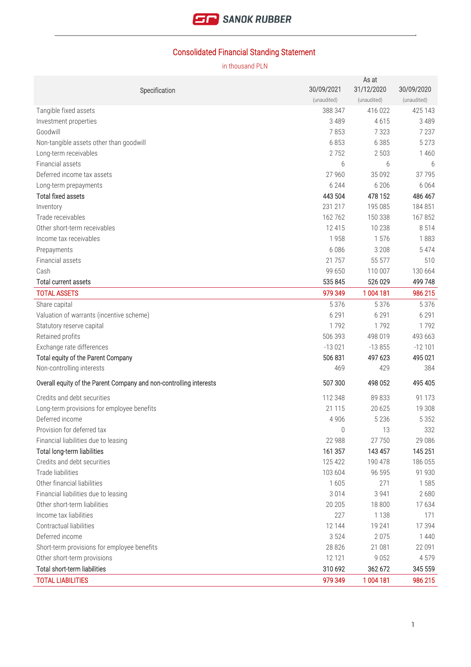

# Consolidated Financial Standing Statement

| Specification                                                      | 30/09/2021  | As at<br>31/12/2020 | 30/09/2020  |
|--------------------------------------------------------------------|-------------|---------------------|-------------|
|                                                                    | (unaudited) | (unaudited)         | (unaudited) |
| Tangible fixed assets                                              | 388 347     | 416 022             | 425 143     |
| Investment properties                                              | 3 4 8 9     | 4615                | 3489        |
| Goodwill                                                           | 7853        | 7 3 2 3             | 7 2 3 7     |
| Non-tangible assets other than goodwill                            | 6853        | 6 3 8 5             | 5 2 7 3     |
| Long-term receivables                                              | 2752        | 2 5 0 3             | 1460        |
| Financial assets                                                   | 6           | 6                   | 6           |
| Deferred income tax assets                                         | 27 960      | 35 0 92             | 37795       |
| Long-term prepayments                                              | 6 2 4 4     | 6 20 6              | 6 0 6 4     |
| <b>Total fixed assets</b>                                          | 443 504     | 478 152             | 486 467     |
| Inventory                                                          | 231 217     | 195 085             | 184 851     |
| Trade receivables                                                  | 162 762     | 150 338             | 167852      |
| Other short-term receivables                                       | 12415       | 10 238              | 8 5 1 4     |
| Income tax receivables                                             | 1958        | 1576                | 1883        |
| Prepayments                                                        | 6 0 8 6     | 3 2 0 8             | 5 4 7 4     |
| Financial assets                                                   | 21 7 5 7    | 55 577              | 510         |
| Cash                                                               | 99 650      | 110 007             | 130 664     |
| <b>Total current assets</b>                                        | 535 845     | 526 029             | 499 748     |
| <b>TOTAL ASSETS</b>                                                | 979 349     | 1 004 181           | 986 215     |
| Share capital                                                      | 5 3 7 6     | 5 3 7 6             | 5 3 7 6     |
| Valuation of warrants (incentive scheme)                           | 6 2 9 1     | 6 2 9 1             | 6 2 9 1     |
| Statutory reserve capital                                          | 1792        | 1792                | 1792        |
| Retained profits                                                   | 506 393     | 498 019             | 493 663     |
| Exchange rate differences                                          | $-13021$    | $-13855$            | $-12101$    |
| Total equity of the Parent Company                                 | 506 831     | 497 623             | 495 021     |
| Non-controlling interests                                          | 469         | 429                 | 384         |
| Overall equity of the Parent Company and non-controlling interests | 507 300     | 498 052             | 495 405     |
| Credits and debt securities                                        | 112 348     | 89 833              | 91 1 7 3    |
| Long-term provisions for employee benefits                         | 21 1 15     | 20 6 25             | 19 308      |
| Deferred income                                                    | 4 9 0 6     | 5 2 3 6             | 5 3 5 2     |
| Provision for deferred tax                                         | 0           | 13                  | 332         |
| Financial liabilities due to leasing                               | 22 988      | 27750               | 29 08 6     |
| Total long-term liabilities                                        | 161 357     | 143 457             | 145 251     |
| Credits and debt securities                                        | 125 422     | 190 478             | 186 055     |
| Trade liabilities                                                  | 103 604     | 96 595              | 91 930      |
| Other financial liabilities                                        | 1605        | 271                 | 1585        |
| Financial liabilities due to leasing                               | 3014        | 3 9 4 1             | 2680        |
| Other short-term liabilities                                       | 20 20 5     | 18 800              | 17634       |
| Income tax liabilities                                             | 227         | 1 1 3 8             | 171         |
| Contractual liabilities                                            | 12 144      | 19 241              | 17 394      |
| Deferred income                                                    | 3 5 2 4     | 2075                | 1 4 4 0     |
| Short-term provisions for employee benefits                        | 28 8 26     | 21 081              | 22 091      |
| Other short-term provisions                                        | 12 121      | 9052                | 4579        |
| Total short-term liabilities                                       | 310 692     | 362 672             | 345 559     |
| <b>TOTAL LIABILITIES</b>                                           | 979 349     | 1 004 181           | 986 215     |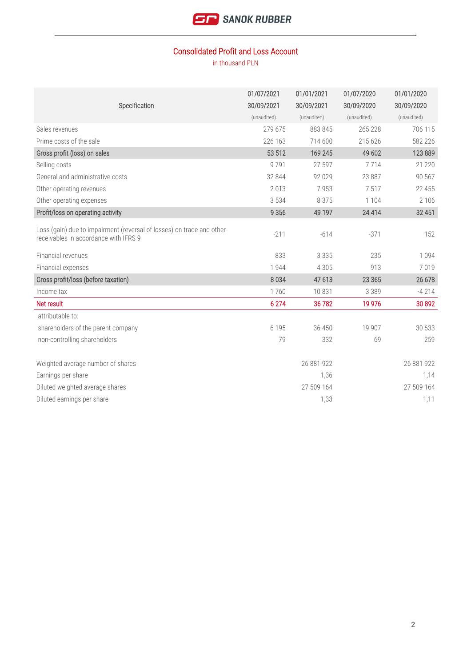

## Consolidated Profit and Loss Account

|                                                                                                                | 01/07/2021  | 01/01/2021  | 01/07/2020  | 01/01/2020  |
|----------------------------------------------------------------------------------------------------------------|-------------|-------------|-------------|-------------|
| Specification                                                                                                  | 30/09/2021  | 30/09/2021  | 30/09/2020  | 30/09/2020  |
|                                                                                                                | (unaudited) | (unaudited) | (unaudited) | (unaudited) |
| Sales revenues                                                                                                 | 279 675     | 883 845     | 265 228     | 706 115     |
| Prime costs of the sale                                                                                        | 226 163     | 714 600     | 215 626     | 582 226     |
| Gross profit (loss) on sales                                                                                   | 53 512      | 169 245     | 49 602      | 123 889     |
| Selling costs                                                                                                  | 9791        | 27 597      | 7714        | 21 2 20     |
| General and administrative costs                                                                               | 32 844      | 92 0 29     | 23 887      | 90 567      |
| Other operating revenues                                                                                       | 2013        | 7953        | 7517        | 22 455      |
| Other operating expenses                                                                                       | 3 5 3 4     | 8 3 7 5     | 1 1 0 4     | 2 1 0 6     |
| Profit/loss on operating activity                                                                              | 9 3 5 6     | 49 197      | 24 4 14     | 32 451      |
| Loss (gain) due to impairment (reversal of losses) on trade and other<br>receivables in accordance with IFRS 9 | $-211$      | $-614$      | $-371$      | 152         |
| Financial revenues                                                                                             | 833         | 3 3 3 5     | 235         | 1094        |
| Financial expenses                                                                                             | 1944        | 4 3 0 5     | 913         | 7019        |
| Gross profit/loss (before taxation)                                                                            | 8034        | 47 613      | 23 3 65     | 26 678      |
| Income tax                                                                                                     | 1760        | 10831       | 3 3 8 9     | $-4214$     |
| Net result                                                                                                     | 6 2 7 4     | 36782       | 19 9 76     | 30 892      |
| attributable to:                                                                                               |             |             |             |             |
| shareholders of the parent company                                                                             | 6 1 9 5     | 36 450      | 19 907      | 30 633      |
| non-controlling shareholders                                                                                   | 79          | 332         | 69          | 259         |
|                                                                                                                |             |             |             |             |
| Weighted average number of shares                                                                              |             | 26 881 922  |             | 26 881 922  |
| Earnings per share                                                                                             |             | 1,36        |             | 1,14        |
| Diluted weighted average shares                                                                                |             | 27 509 164  |             | 27 509 164  |
| Diluted earnings per share                                                                                     |             | 1,33        |             | 1,11        |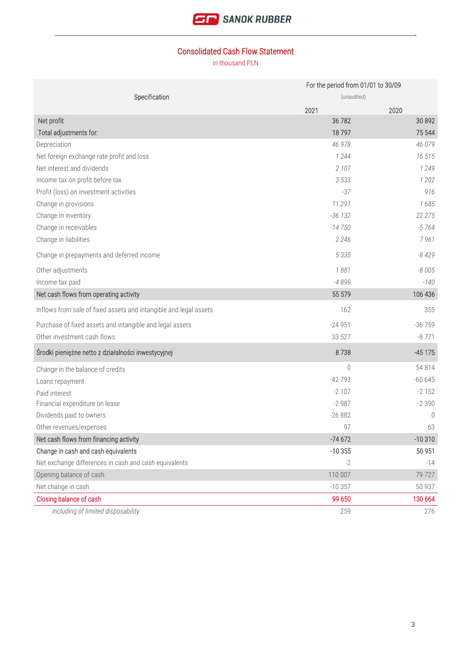

## Consolidated Cash Flow Statement

|                                                                   | For the period from 01/01 to 30/09 |          |
|-------------------------------------------------------------------|------------------------------------|----------|
| Specification                                                     | (unaudited)                        |          |
|                                                                   | 2021                               | 2020     |
| Net profit                                                        | 36 782                             | 30 892   |
| Total adjustments for:                                            | 18797                              | 75 544   |
| Depreciation                                                      | 46 978                             | 46 079   |
| Net foreign exchange rate profit and loss                         | 1 2 4 4                            | 16 515   |
| Net interest and dividends                                        | 2 107                              | 1 2 4 9  |
| Income tax on profit before tax                                   | 3 5 3 3                            | 1 202    |
| Profit (loss) on investment activities                            | $-37$                              | 916      |
| Change in provisions                                              | 11 291                             | 1685     |
| Change in inventory                                               | $-36132$                           | 22 275   |
| Change in receivables                                             | $-14750$                           | $-5764$  |
| Change in liabilities                                             | 2 2 4 6                            | 7961     |
| Change in prepayments and deferred income                         | 5 3 3 5                            | $-8429$  |
| Other adjustments                                                 | 1881                               | $-8005$  |
| Income tax paid                                                   | -4899                              | $-140$   |
| Net cash flows from operating activity                            | 55 579                             | 106 436  |
| Inflows from sale of fixed assets and intangible and legal assets | 162                                | 355      |
| Purchase of fixed assets and intangible and legal assets          | $-24951$                           | $-36759$ |
| Other investment cash flows                                       | 33 527                             | $-8771$  |
| Środki pieniężne netto z działalności inwestycyjnej               | 8738                               | $-45175$ |
| Change in the balance of credits                                  | $\mathbf{0}$                       | 54 814   |
| Loans repayment                                                   | $-42793$                           | $-60645$ |
| Paid interest                                                     | $-2107$                            | $-2152$  |
| Financial expenditure on lease                                    | $-2987$                            | $-2390$  |
| Dividends paid to owners                                          | $-26882$                           | $\theta$ |
| Other revenues/expenses                                           | 97                                 | 63       |
| Net cash flows from financing activity                            | $-74672$                           | $-10310$ |
| Change in cash and cash equivalents                               | $-10355$                           | 50 951   |
| Net exchange differences in cash and cash equivalents             | $-2$                               | $-14$    |
| Opening balance of cash                                           | 110 007                            | 79727    |
| Net change in cash                                                | $-10357$                           | 50 937   |
| Closing balance of cash                                           | 99 650                             | 130 664  |
| including of limited disposability                                | 259                                | 276      |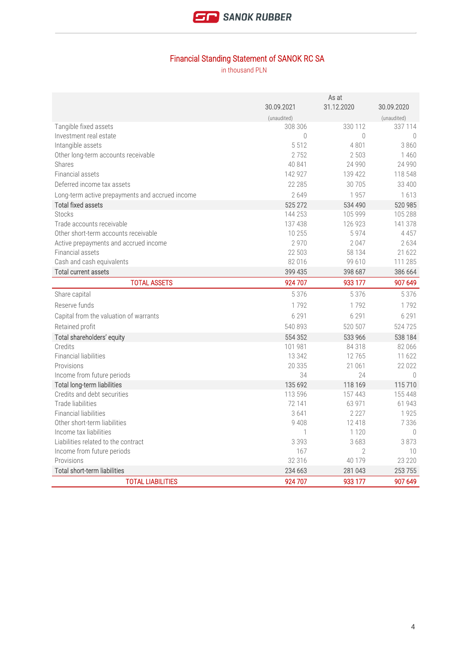

# Financial Standing Statement of SANOK RC SA

|                                                 | As at            |            |                  |
|-------------------------------------------------|------------------|------------|------------------|
|                                                 | 30.09.2021       | 31.12.2020 | 30.09.2020       |
|                                                 | (unaudited)      |            | (unaudited)      |
| Tangible fixed assets                           | 308 306          | 330 112    | 337 114          |
| Investment real estate                          | $\left( \right)$ | $\bigcirc$ | $\left( \right)$ |
| Intangible assets                               | 5 5 1 2          | 4801       | 3860             |
| Other long-term accounts receivable             | 2752             | 2 5 0 3    | 1460             |
| Shares                                          | 40 841           | 24 990     | 24 990           |
| Financial assets                                | 142 927          | 139 422    | 118 548          |
| Deferred income tax assets                      | 22 285           | 30 705     | 33 400           |
| Long-term active prepayments and accrued income | 2 6 4 9          | 1957       | 1613             |
| <b>Total fixed assets</b>                       | 525 272          | 534 490    | 520 985          |
| <b>Stocks</b>                                   | 144 253          | 105 999    | 105 288          |
| Trade accounts receivable                       | 137 438          | 126 923    | 141 378          |
| Other short-term accounts receivable            | 10 255           | 5974       | 4 4 5 7          |
| Active prepayments and accrued income           | 2 9 7 0          | 2047       | 2634             |
| Financial assets                                | 22 503           | 58 134     | 21 622           |
| Cash and cash equivalents                       | 82 016           | 99 610     | 111 285          |
| <b>Total current assets</b>                     | 399 435          | 398 687    | 386 664          |
| <b>TOTAL ASSETS</b>                             | 924 707          | 933 177    | 907 649          |
| Share capital                                   | 5 3 7 6          | 5 3 7 6    | 5 3 7 6          |
| Reserve funds                                   | 1792             | 1792       | 1792             |
| Capital from the valuation of warrants          | 6 2 9 1          | 6 2 9 1    | 6 2 9 1          |
| Retained profit                                 | 540 893          | 520 507    | 524725           |
| Total shareholders' equity                      | 554 352          | 533 966    | 538 184          |
| Credits                                         | 101 981          | 84 318     | 82 066           |
| <b>Financial liabilities</b>                    | 13 342           | 12765      | 11 622           |
| Provisions                                      | 20 335           | 21 061     | 22 0 22          |
| Income from future periods                      | 34               | 24         | $\theta$         |
| Total long-term liabilities                     | 135 692          | 118 169    | 115710           |
| Credits and debt securities                     | 113 596          | 157 443    | 155 448          |
| Trade liabilities                               | 72 141           | 63 971     | 61 943           |
| <b>Financial liabilities</b>                    | 3641             | 2 2 2 7    | 1925             |
| Other short-term liabilities                    | 9 4 0 8          | 12 418     | 7 3 3 6          |
| Income tax liabilities                          | 1                | 1 1 2 0    | $\Omega$         |
| Liabilities related to the contract             | 3 3 9 3          | 3683       | 3873             |
| Income from future periods                      | 167              | $\sqrt{2}$ | 10               |
| Provisions                                      | 32 316           | 40 179     | 23 220           |
| Total short-term liabilities                    | 234 663          | 281 043    | 253 755          |
| <b>TOTAL LIABILITIES</b>                        | 924 707          | 933 177    | 907 649          |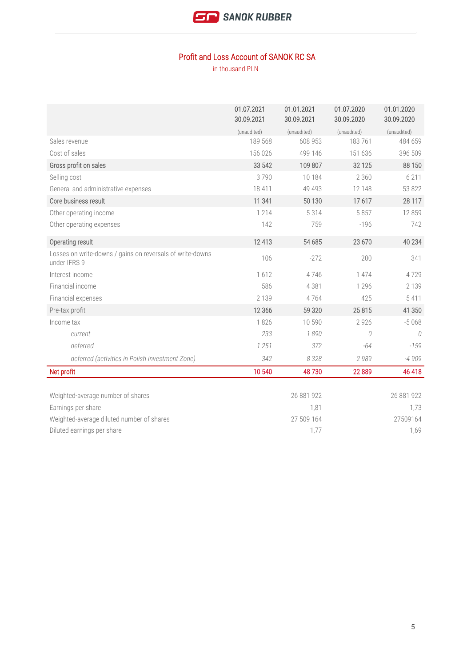

#### Profit and Loss Account of SANOK RC SA

|                                                                           | 01.07.2021<br>30.09.2021 | 01.01.2021<br>30.09.2021 | 01.07.2020<br>30.09.2020 | 01.01.2020<br>30.09.2020 |
|---------------------------------------------------------------------------|--------------------------|--------------------------|--------------------------|--------------------------|
|                                                                           | (unaudited)              | (unaudited)              | (unaudited)              | (unaudited)              |
| Sales revenue                                                             | 189 568                  | 608 953                  | 183761                   | 484 659                  |
| Cost of sales                                                             | 156 026                  | 499 146                  | 151 636                  | 396 509                  |
| Gross profit on sales                                                     | 33 542                   | 109 807                  | 32 1 25                  | 88 150                   |
| Selling cost                                                              | 3790                     | 10 184                   | 2 3 6 0                  | 6 2 1 1                  |
| General and administrative expenses                                       | 18 411                   | 49 4 9 3                 | 12 148                   | 53 822                   |
| Core business result                                                      | 11 341                   | 50 130                   | 17617                    | 28 117                   |
| Other operating income                                                    | 1 2 1 4                  | 5314                     | 5857                     | 12 8 5 9                 |
| Other operating expenses                                                  | 142                      | 759                      | $-196$                   | 742                      |
| Operating result                                                          | 12 413                   | 54 685                   | 23 670                   | 40 234                   |
| Losses on write-downs / gains on reversals of write-downs<br>under IFRS 9 | 106                      | $-272$                   | 200                      | 341                      |
| Interest income                                                           | 1612                     | 4746                     | 1 4 7 4                  | 4729                     |
| Financial income                                                          | 586                      | 4 3 8 1                  | 1 2 9 6                  | 2 1 3 9                  |
| Financial expenses                                                        | 2 1 3 9                  | 4764                     | 425                      | 5 4 1 1                  |
| Pre-tax profit                                                            | 12 3 6 6                 | 59 320                   | 25815                    | 41 350                   |
| Income tax                                                                | 1826                     | 10 590                   | 2 9 2 6                  | $-5068$                  |
| current                                                                   | 233                      | 1890                     | 0                        | 0                        |
| deferred                                                                  | 1251                     | 372                      | -64                      | $-159$                   |
| deferred (activities in Polish Investment Zone)                           | 342                      | 8328                     | 2989                     | $-4909$                  |
| Net profit                                                                | 10 540                   | 48730                    | 22 8 89                  | 46 418                   |
|                                                                           |                          |                          |                          |                          |
| Weighted-average number of shares                                         |                          | 26 881 922               |                          | 26 881 922               |
| Earnings per share                                                        |                          | 1,81                     |                          | 1,73                     |
| Weighted-average diluted number of shares                                 |                          | 27 509 164               |                          | 27509164                 |
| Diluted earnings per share                                                |                          | 1,77                     |                          | 1,69                     |